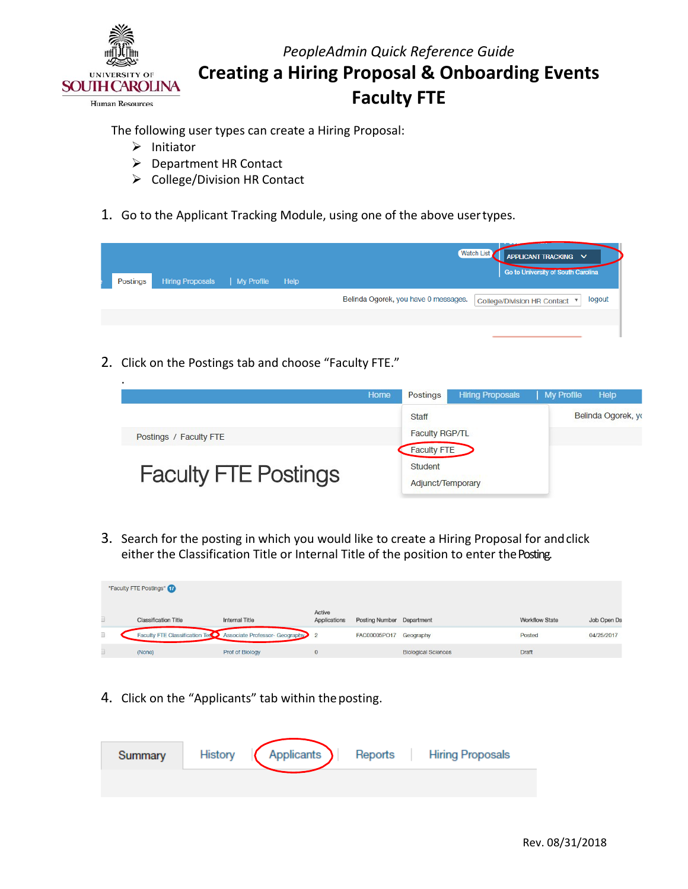

The following user types can create a Hiring Proposal:

- $\triangleright$  Initiator
- Department HR Contact
- $\triangleright$  College/Division HR Contact
- 1. Go to the Applicant Tracking Module, using one of the above user types.

| Postings | <b>Hiring Proposals</b> | My Profile | Help | Watch List<br>APPLICANT TRACKING V<br>Go to University of South Carolina        |
|----------|-------------------------|------------|------|---------------------------------------------------------------------------------|
|          |                         |            |      | Belinda Ogorek, you have 0 messages.<br>logout<br>College/Division HR Contact ▼ |
|          |                         |            |      |                                                                                 |
|          |                         |            |      |                                                                                 |

2. Click on the Postings tab and choose "Faculty FTE."

| ٠<br>Home                   | Postings                     | <b>Hiring Proposals</b> | My Profile | Help               |
|-----------------------------|------------------------------|-------------------------|------------|--------------------|
|                             | Staff                        |                         |            | Belinda Ogorek, yo |
| Postings / Faculty FTE      | <b>Faculty RGP/TL</b>        |                         |            |                    |
|                             | <b>Faculty FTE</b>           |                         |            |                    |
| <b>Faculty FTE Postings</b> | Student<br>Adjunct/Temporary |                         |            |                    |

either the Classification Title or Internal Title of the position to enter the Posting. 3. Search for the posting in which you would like to create a Hiring Proposal for andclick

|   | "Faculty FTE Postings" (T)  |                                                                  |                        |                           |                            |                       |             |
|---|-----------------------------|------------------------------------------------------------------|------------------------|---------------------------|----------------------------|-----------------------|-------------|
|   | <b>Classification Title</b> | Internal Title                                                   | Active<br>Applications | Posting Number Department |                            | <b>Workflow State</b> | Job Open Da |
| D |                             | Faculty FTE Classification Tessex Associate Professor- Geography | $\overline{2}$         | FAC00005PO17 Geography    |                            | Posted                | 04/25/2017  |
|   | (None)                      | Prof of Biology                                                  | $\mathbf{0}$           |                           | <b>Biological Sciences</b> | <b>Draft</b>          |             |

4. Click on the "Applicants" tab within the posting.

| Summary | Applicants )<br>History<br>Reports<br><b>Hiring Proposals</b> |
|---------|---------------------------------------------------------------|
|         |                                                               |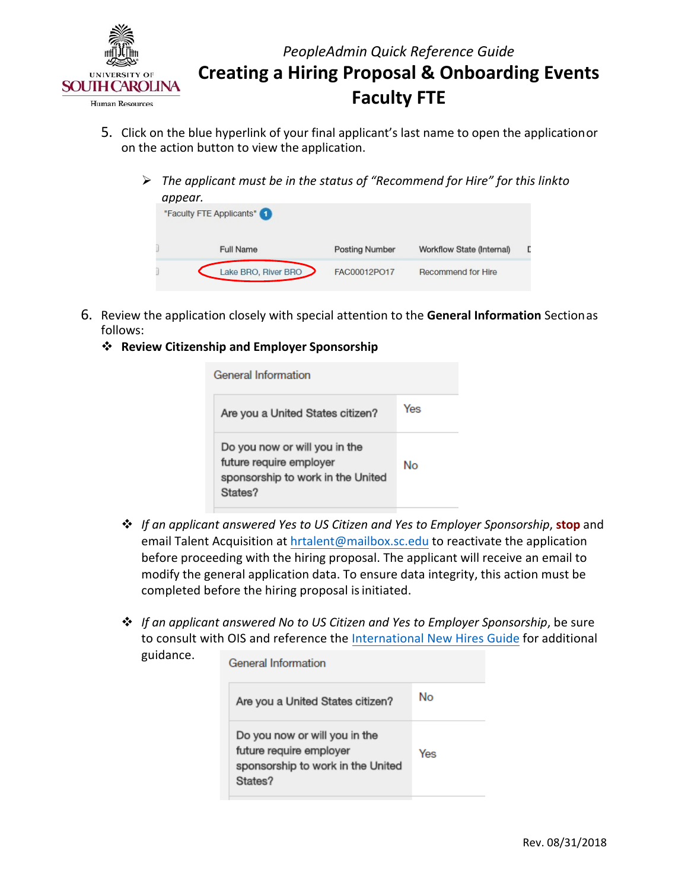

- on the action button to view the application. 5. Click on the blue hyperlink of your final applicant's last name to open the applicationor
	- *The applicant must be in the status of "Recommend for Hire" for this linkto appear.*

| uppeur.<br>"Faculty FTE Applicants" |                       |                           |  |
|-------------------------------------|-----------------------|---------------------------|--|
| <b>Full Name</b>                    | <b>Posting Number</b> | Workflow State (Internal) |  |
| Lake BRO, River BRO                 | FAC00012PO17          | Recommend for Hire        |  |

- 6. Review the application closely with special attention to the **General Information** Sectionas follows:
	- **Review Citizenship and Employer Sponsorship**

**General Information** Yes Are you a United States citizen? Do you now or will you in the future require employer No sponsorship to work in the United States?

- *If an applicant answered Yes to US Citizen and Yes to Employer Sponsorship*, **stop** and email Talent Acquisition at [hrtalent@mailbox.sc.edu to](mailto:hrtalent@mailbox.sc.edu) reactivate the application before proceeding with the hiring proposal. The applicant will receive an email to modify the general application data. To ensure data integrity, this action must be completed before the hiring proposal is initiated.
- *If an applicant answered No to US Citizen and Yes to Employer Sponsorship*, be sure to consult with OIS and reference th[e International New Hires Guide f](http://www.sc.edu/about/offices_and_divisions/human_resources/docs/pa_international_new_hires.pdf)or additional guidance. Conoral Information

| vererar inivinialivi i                                                                                   |     |  |
|----------------------------------------------------------------------------------------------------------|-----|--|
| Are you a United States citizen?                                                                         | No  |  |
| Do you now or will you in the<br>future require employer<br>sponsorship to work in the United<br>States? | Yes |  |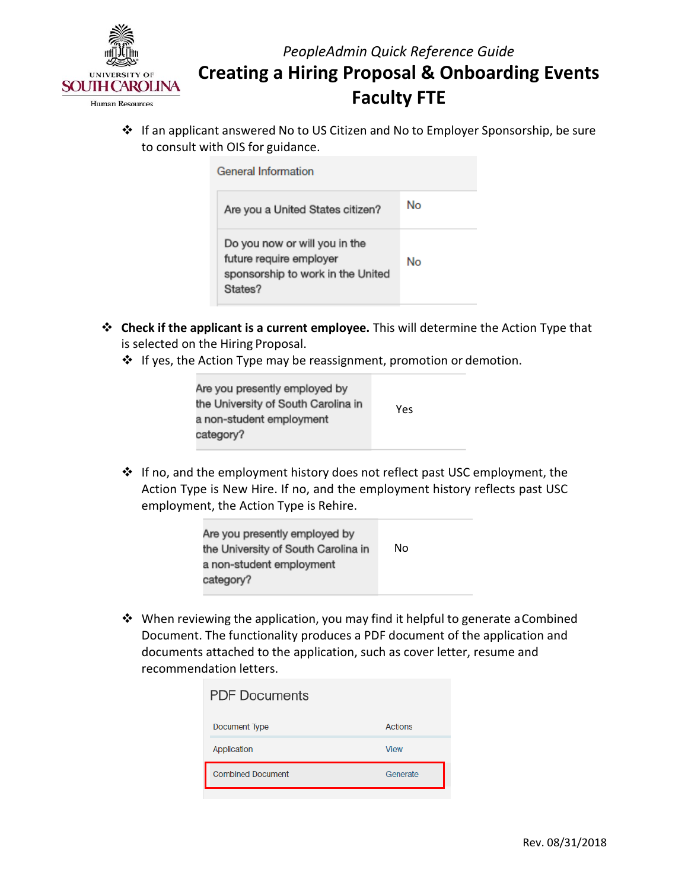

 If an applicant answered No to US Citizen and No to Employer Sponsorship, be sure to consult with OIS for guidance.

| General Information                                                                                      |    |
|----------------------------------------------------------------------------------------------------------|----|
| Are you a United States citizen?                                                                         | No |
| Do you now or will you in the<br>future require employer<br>sponsorship to work in the United<br>States? | No |

- is selected on the Hiring Proposal. **Check if the applicant is a current employee.** This will determine the Action Type that
	- ❖ If yes, the Action Type may be reassignment, promotion or demotion.

| Are you presently employed by<br>the University of South Carolina in | Yes |
|----------------------------------------------------------------------|-----|
| a non-student employment<br>category?                                |     |
|                                                                      |     |

 If no, and the employment history does not reflect past USC employment, the employment, the Action Type is Rehire. Action Type is New Hire. If no, and the employment history reflects past USC

| Are you presently employed by<br>the University of South Carolina in | No |  |
|----------------------------------------------------------------------|----|--|
| a non-student employment<br>category?                                |    |  |

 When reviewing the application, you may find it helpful to generate aCombined documents attached to the application, such as cover letter, resume and recommendation letters. Document. The functionality produces a PDF document of the application and

| <b>PDF Documents</b>     |                |
|--------------------------|----------------|
| Document Type            | <b>Actions</b> |
| Application              | <b>View</b>    |
| <b>Combined Document</b> | Generate       |
|                          |                |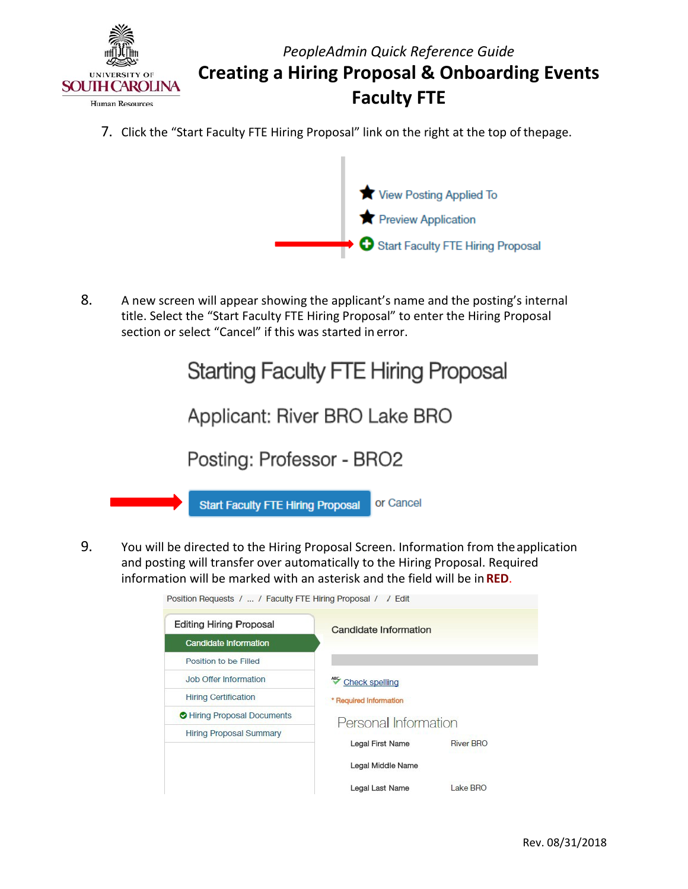

7. Click the "Start Faculty FTE Hiring Proposal" link on the right at the top of thepage.



 title. Select the "Start Faculty FTE Hiring Proposal" to enter the Hiring Proposal 8. A new screen will appear showing the applicant's name and the posting's internal section or select "Cancel" if this was started in error.



 and posting will transfer over automatically to the Hiring Proposal. Required information will be marked with an asterisk and the field will be in **RED**. 9. You will be directed to the Hiring Proposal Screen. Information from theapplication

| <b>Editing Hiring Proposal</b> | Candidate Information  |                  |
|--------------------------------|------------------------|------------------|
| <b>Candidate Information</b>   |                        |                  |
| Position to be Filled          |                        |                  |
| <b>Job Offer Information</b>   | <b>Check spelling</b>  |                  |
| <b>Hiring Certification</b>    | * Required Information |                  |
| Hiring Proposal Documents      | Personal Information   |                  |
| <b>Hiring Proposal Summary</b> |                        |                  |
|                                | Legal First Name       | <b>River BRO</b> |
|                                | Legal Middle Name      |                  |
|                                | Legal Last Name        | Lake BRO         |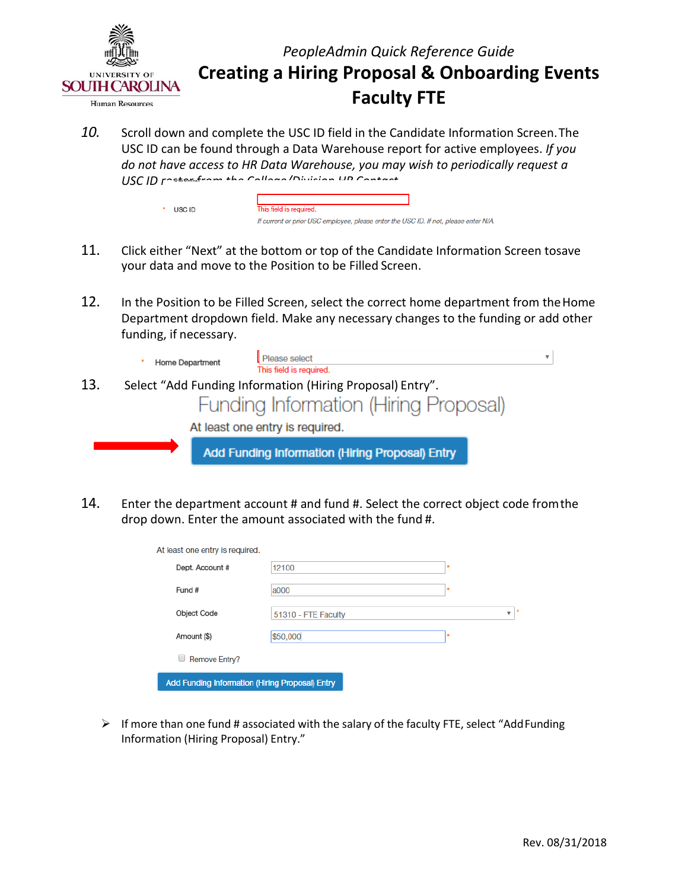

10. Scroll down and complete the USC ID field in the Candidate Information Screen. The USC ID can be found through a Data Warehouse report for active employees. *If you do not have access to HR Data Warehouse, you may wish to periodically request a USC ID roster from the College/Division HR Contact.* 

| USC ID | This field is required.                                                              |
|--------|--------------------------------------------------------------------------------------|
|        | If current or prior USC employee, please enter the USC ID. If not, please enter N/A. |

- 11. Click either "Next" at the bottom or top of the Candidate Information Screen tosave your data and move to the Position to be Filled Screen.
- Department dropdown field. Make any necessary changes to the funding or add other 12. In the Position to be Filled Screen, select the correct home department from the Home funding, if necessary.



14. Enter the department account # and fund #. Select the correct object code fromthe drop down. Enter the amount associated with the fund #.

| At least one entry is required.                 |                     |   |
|-------------------------------------------------|---------------------|---|
| Dept. Account #                                 | 12100               | ۰ |
| Fund #                                          | a000                | ۰ |
| <b>Object Code</b>                              | 51310 - FTE Faculty | v |
| Amount (\$)                                     | \$50,000            | ۰ |
| Remove Entry?                                   |                     |   |
| Add Funding Information (Hiring Proposal) Entry |                     |   |

 $\triangleright$  If more than one fund # associated with the salary of the faculty FTE, select "AddFunding Information (Hiring Proposal) Entry."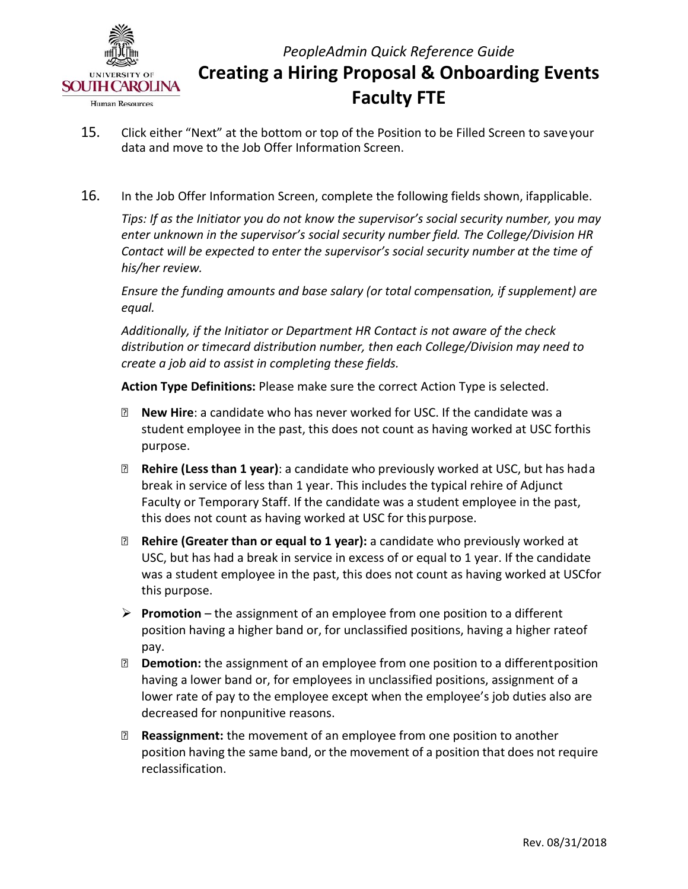

- 15. Click either "Next" at the bottom or top of the Position to be Filled Screen to saveyour data and move to the Job Offer Information Screen.
- 16. In the Job Offer Information Screen, complete the following fields shown, ifapplicable.

 *Contact will be expected to enter the supervisor's social security number at the time of Tips: If as the Initiator you do not know the supervisor's social security number, you may enter unknown in the supervisor's social security number field. The College/Division HR his/her review.* 

*Ensure the funding amounts and base salary (or total compensation, if supplement) are equal.* 

 *Additionally, if the Initiator or Department HR Contact is not aware of the check distribution or timecard distribution number, then each College/Division may need to create a job aid to assist in completing these fields.* 

 **Action Type Definitions:** Please make sure the correct Action Type is selected.

- student employee in the past, this does not count as having worked at USC forthis **New Hire**: a candidate who has never worked for USC. If the candidate was a purpose.
- **Rehire (Less than 1 year)**: a candidate who previously worked at USC, but has hada Faculty or Temporary Staff. If the candidate was a student employee in the past, this does not count as having worked at USC for this purpose. break in service of less than 1 year. This includes the typical rehire of Adjunct
- **Rehire (Greater than or equal to 1 year):** a candidate who previously worked at was a student employee in the past, this does not count as having worked at USCfor this purpose. USC, but has had a break in service in excess of or equal to 1 year. If the candidate
- position having a higher band or, for unclassified positions, having a higher rateof **Promotion** – the assignment of an employee from one position to a different pay.
- **Demotion:** the assignment of an employee from one position to a differentposition having a lower band or, for employees in unclassified positions, assignment of a lower rate of pay to the employee except when the employee's job duties also are decreased for nonpunitive reasons.
- position having the same band, or the movement of a position that does not require **Reassignment:** the movement of an employee from one position to another reclassification.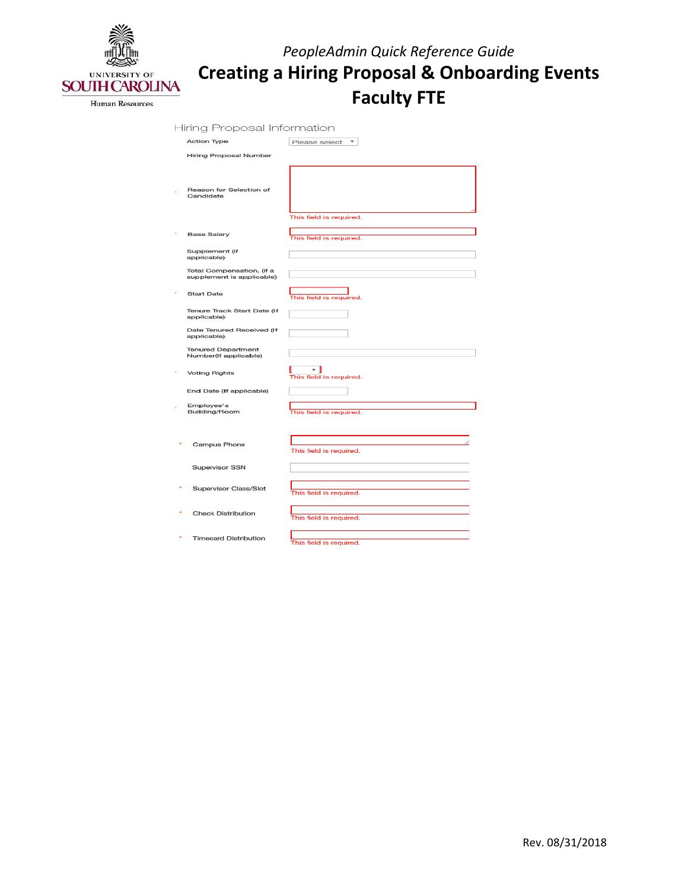

| <b>Hiring Proposal Information</b>                     |                               |
|--------------------------------------------------------|-------------------------------|
| <b>Action Type</b>                                     | Please select<br>v            |
| <b>Hiring Proposal Number</b>                          |                               |
| Reason for Selection of<br>Candidate                   | This field is required.       |
| <b>Base Salary</b>                                     | This field is required.       |
| Supplement (if<br>applicable)                          |                               |
| Total Compensation, (if a<br>supplement is applicable) |                               |
| <b>Start Date</b>                                      | This field is required.       |
| Tenure Track Start Date (If<br>applicable)             |                               |
| Date Tenured Received (If<br>applicable)               |                               |
| <b>Tenured Department</b><br>Number(If applicable)     |                               |
| <b>Voting Rights</b>                                   | ▾∥<br>This field is required. |
| End Date (If applicable)                               |                               |
| Employee's<br>Building/Room                            | This field is required.       |
| <b>Campus Phone</b>                                    | This field is required.       |
| Supervisor SSN                                         |                               |
| <b>Supervisor Class/Slot</b>                           | This field is required.       |
| <b>Check Distribution</b>                              | This field is required.       |
| <b>Timecard Distribution</b>                           | This field is required.       |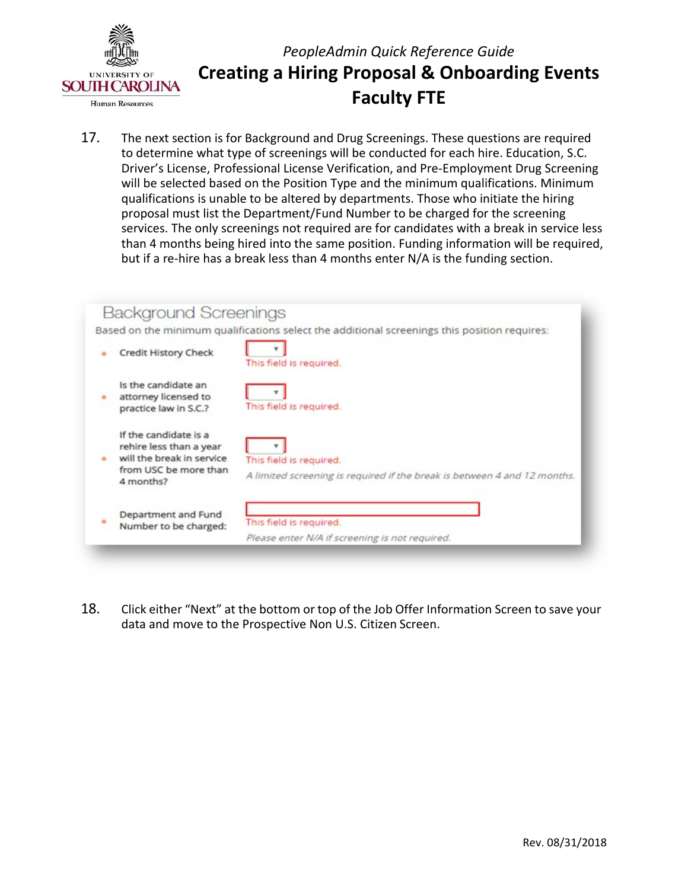

 to determine what type of screenings will be conducted for each hire. Education, S.C. qualifications is unable to be altered by departments. Those who initiate the hiring proposal must list the Department/Fund Number to be charged for the screening than 4 months being hired into the same position. Funding information will be required, but if a re-hire has a break less than 4 months enter N/A is the funding section. 17. The next section is for Background and Drug Screenings. These questions are required Driver's License, Professional License Verification, and Pre-Employment Drug Screening will be selected based on the Position Type and the minimum qualifications. Minimum services. The only screenings not required are for candidates with a break in service less



Click either "Next" at the bottom or top of the Job Offer Information Screen to save your data and move to the Prospective Non U.S. Citizen Screen.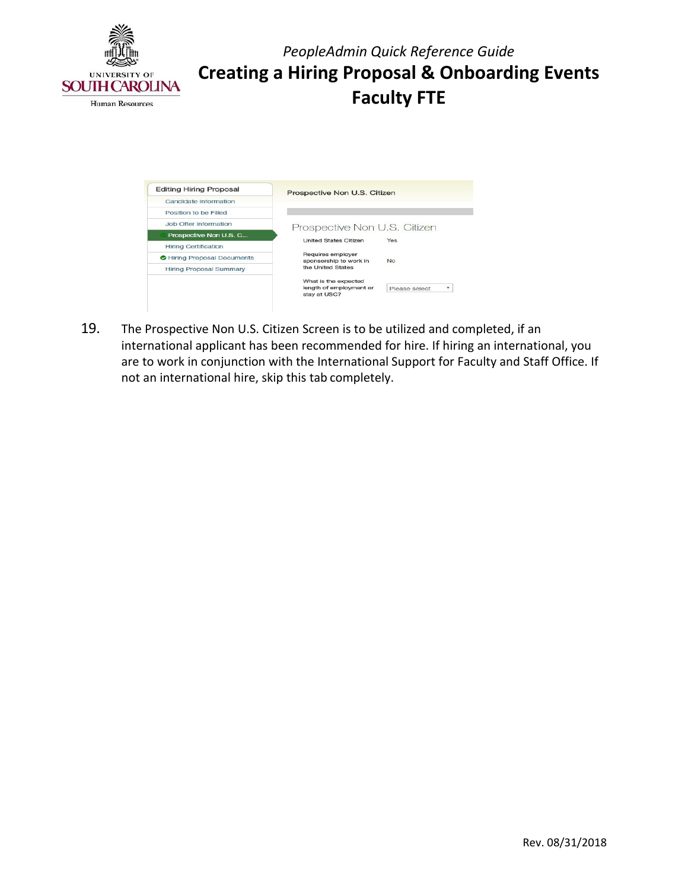

| <b>Editing Hiring Proposal</b>     | Prospective Non U.S. Citizen                |                    |
|------------------------------------|---------------------------------------------|--------------------|
| Candidate Information              |                                             |                    |
| Position to be Filled              |                                             |                    |
| <b>Job Offer Information</b>       | Prospective Non U.S. Citizen                |                    |
| Prospective Non U.S. C             | <b>United States Citizen</b>                | Yes                |
| <b>Hiring Certification</b>        |                                             |                    |
| <b>O</b> Hiring Proposal Documents | Requires employer<br>sponsorship to work in | <b>No</b>          |
| <b>Hiring Proposal Summary</b>     | the United States                           |                    |
|                                    | What is the expected                        |                    |
|                                    | length of employment or<br>stay at USC?     | ۰<br>Please select |

 19. The Prospective Non U.S. Citizen Screen is to be utilized and completed, if an international applicant has been recommended for hire. If hiring an international, you are to work in conjunction with the International Support for Faculty and Staff Office. If not an international hire, skip this tab completely.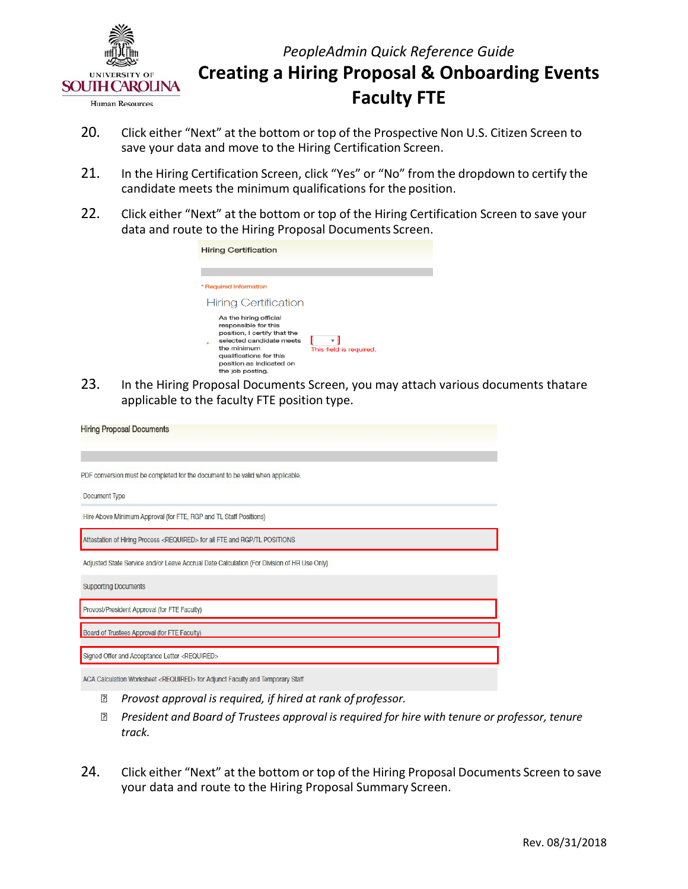

- 20. Click either "Next" at the bottom or top of the Prospective Non U.S. Citizen Screen to save your data and move to the Hiring Certification Screen.
- 21. In the Hiring Certification Screen, click "Yes" or "No" from the dropdown to certify the candidate meets the minimum qualifications for the position.
- 22. Click either "Next" at the bottom or top of the Hiring Certification Screen to save your data and route to the Hiring Proposal Documents Screen.

| Hiring Certification                                                                                                                                                                                 |                              |
|------------------------------------------------------------------------------------------------------------------------------------------------------------------------------------------------------|------------------------------|
|                                                                                                                                                                                                      |                              |
| <b>Required Information</b>                                                                                                                                                                          |                              |
| <b>Hiring Certification</b>                                                                                                                                                                          |                              |
| As the hiring official<br>responsible for this<br>position, I certify that the<br>selected candidate meets<br>the minimum<br>qualifications for this<br>position as indicated on<br>the job posting. | ▼<br>This field is required. |

 applicable to the faculty FTE position type. 23. In the Hiring Proposal Documents Screen, you may attach various documents thatare

| <b>Hiring Proposal Documents</b>                                                           |
|--------------------------------------------------------------------------------------------|
| PDF conversion must be completed for the document to be valid when applicable.             |
| Document Type                                                                              |
| Hire Above Minimum Approval (for FTE, RGP and TL Staff Positions)                          |
| Attestation of Hiring Process <required> for all FTE and RGP/TL POSITIONS</required>       |
| Adjusted State Service and/or Leave Accrual Date Calculation (For Division of HR Use Only) |
| <b>Supporting Documents</b>                                                                |
| Provost/President Approval (for FTE Faculty)                                               |
| Board of Trustees Approval (for FTE Faculty)                                               |
| Signed Offer and Acceptance Letter <required></required>                                   |
| ACA Calculation Worksheet <required> for Adjunct Faculty and Temporary Staff</required>    |

- *Provost approval is required, if hired at rank of professor.*
- *President and Board of Trustees approval is required for hire with tenure or professor, tenure track.*
- 24. Click either "Next" at the bottom or top of the Hiring Proposal Documents Screen to save your data and route to the Hiring Proposal Summary Screen.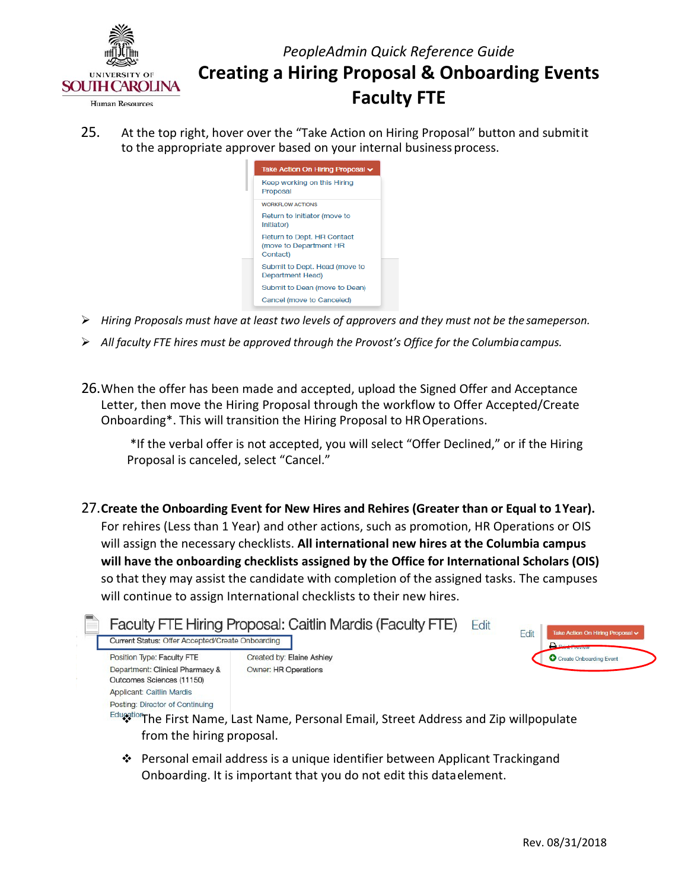

25. At the top right, hover over the "Take Action on Hiring Proposal" button and submitit to the appropriate approver based on your internal business process.



- *Hiring Proposals must have at least two levels of approvers and they must not be the sameperson.*
- *All faculty FTE hires must be approved through the Provost's Office for the Columbia campus.*
- Onboarding\*. This will transition the Hiring Proposal to HR Operations. 26.When the offer has been made and accepted, upload the Signed Offer and Acceptance Letter, then move the Hiring Proposal through the workflow to Offer Accepted/Create

 \*If the verbal offer is not accepted, you will select "Offer Declined," or if the Hiring Proposal is canceled, select "Cancel."

 27.**Create the Onboarding Event for New Hires and Rehires (Greater than or Equal to 1Year).** For rehires (Less than 1 Year) and other actions, such as promotion, HR Operations or OIS  so that they may assist the candidate with completion of the assigned tasks. The campuses will continue to assign International checklists to their new hires. will assign the necessary checklists. **All international new hires at the Columbia campus will have the onboarding checklists assigned by the Office for International Scholars (OIS)** 



 Onboarding. It is important that you do not edit this dataelement. Personal email address is a unique identifier between Applicant Trackingand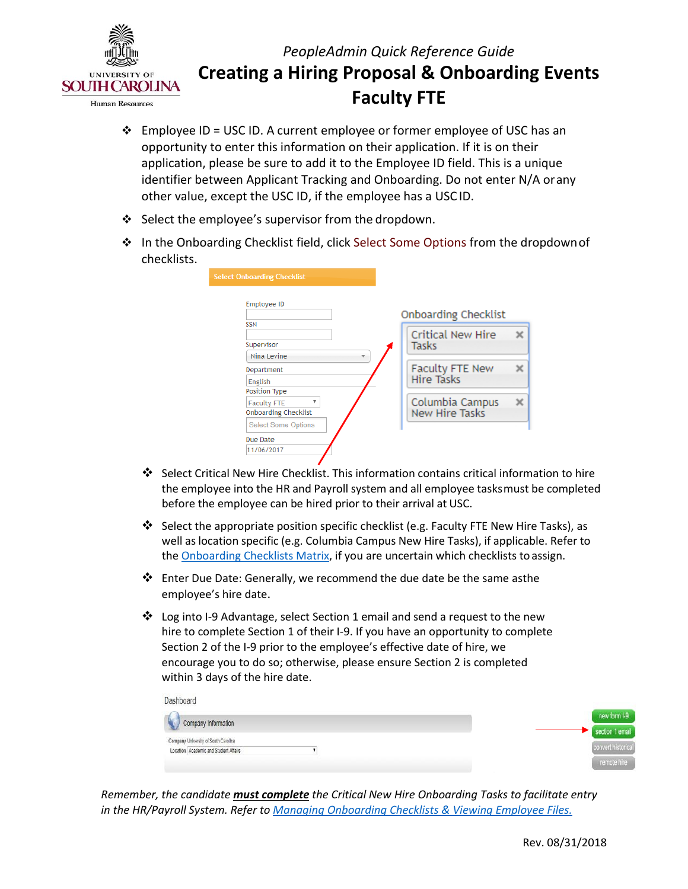

- Employee ID = USC ID. A current employee or former employee of USC has an identifier between Applicant Tracking and Onboarding. Do not enter N/A orany other value, except the USC ID, if the employee has a USC ID. opportunity to enter this information on their application. If it is on their application, please be sure to add it to the Employee ID field. This is a unique
- Select the employee's supervisor from the dropdown.
- In the Onboarding Checklist field, click Select Some Options from the dropdownof checklists.

| <b>Employee ID</b>                            | <b>Onboarding Checklist</b> |
|-----------------------------------------------|-----------------------------|
| <b>SSN</b>                                    |                             |
|                                               | <b>Critical New Hire</b>    |
| Supervisor                                    | Tasks                       |
| Nina Levine                                   |                             |
| Department                                    | Faculty FTE New             |
| <b>English</b>                                | <b>Hire Tasks</b>           |
| Position Type                                 |                             |
| $\overline{\mathbf{v}}$<br><b>Faculty FTE</b> | Columbia Campus             |
| <b>Onboarding Checklist</b>                   | <b>New Hire Tasks</b>       |
| <b>Select Some Options</b>                    |                             |

- the employee into the HR and Payroll system and all employee tasksmust be completed before the employee can be hired prior to their arrival at USC. Select Critical New Hire Checklist. This information contains critical information to hire
- Select the appropriate position specific checklist (e.g. Faculty FTE New Hire Tasks), as well as location specific (e.g. Columbia Campus New Hire Tasks), if applicable. Refer to the **Onboarding Checklists Matrix**, if you are uncertain which checklists to assign.
- $\clubsuit$  Enter Due Date: Generally, we recommend the due date be the same asthe employee's hire date.
- hire to complete Section 1 of their I-9. If you have an opportunity to complete within 3 days of the hire date. Log into I-9 Advantage, select Section 1 email and send a request to the new Section 2 of the I-9 prior to the employee's effective date of hire, we encourage you to do so; otherwise, please ensure Section 2 is completed

| Dashboard                             |  |                    |
|---------------------------------------|--|--------------------|
| Company Information                   |  | new form 1-9       |
|                                       |  | section 1 email    |
| Company University of South Carolina  |  |                    |
| Location Academic and Student Affairs |  | convert historical |
|                                       |  | remote hire        |

 *in the HR/Payroll System. Refer to [Managing Onboarding Checklists & Viewing Employee Files.](http://www.sc.edu/about/offices_and_divisions/human_resources/docs/pa_managing_onboarding_checklists_viewing_employee_files.pdf)  Remember, the candidate must complete the Critical New Hire Onboarding Tasks to facilitate entry*